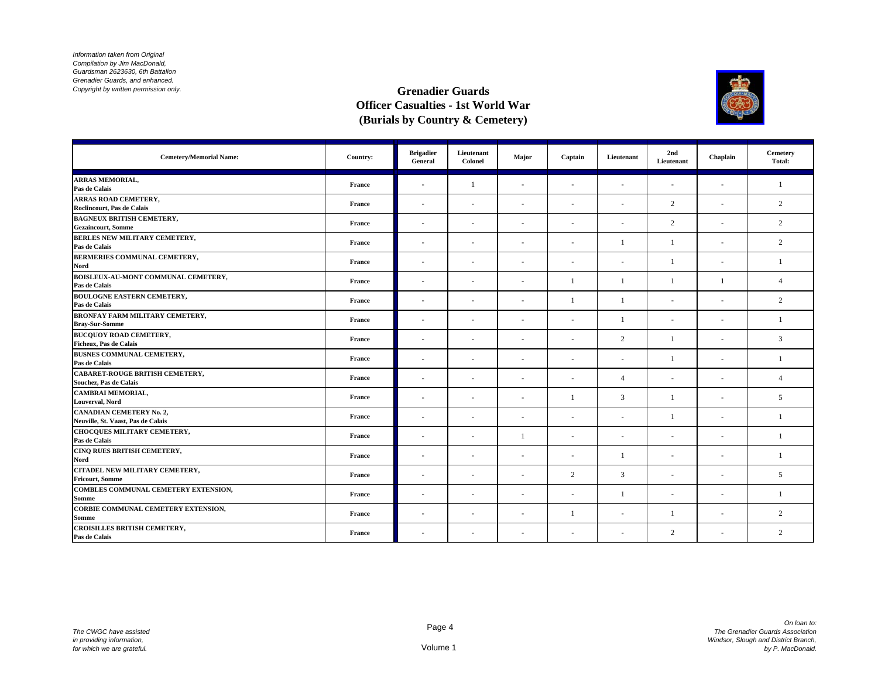

| <b>Cemetery/Memorial Name:</b>                                        | Country: | <b>Brigadier</b><br>General | Lieutenant<br>Colonel    | Major                    | Captain        | Lieutenant     | 2nd<br>Lieutenant        | Chaplain                 | Cemetery<br>Total: |
|-----------------------------------------------------------------------|----------|-----------------------------|--------------------------|--------------------------|----------------|----------------|--------------------------|--------------------------|--------------------|
| <b>ARRAS MEMORIAL,</b><br>Pas de Calais                               | France   |                             |                          | ÷,                       | ٠              | ٠              | ٠                        | ÷,                       | $\overline{1}$     |
| <b>ARRAS ROAD CEMETERY,</b>                                           |          |                             |                          |                          |                |                |                          |                          |                    |
| Roclincourt, Pas de Calais                                            | France   | $\sim$                      | $\sim$                   | ÷.                       | ٠              | ٠              | 2                        | ÷                        | $\overline{c}$     |
| <b>BAGNEUX BRITISH CEMETERY,</b><br><b>Gezaincourt, Somme</b>         | France   |                             |                          |                          | ٠              | ٠              | 2                        | ä,                       | $\overline{c}$     |
| BERLES NEW MILITARY CEMETERY,                                         | France   |                             |                          |                          | ÷,             |                | $\overline{1}$           | ä,                       | $\overline{c}$     |
| Pas de Calais                                                         |          |                             |                          |                          |                |                |                          |                          |                    |
| BERMERIES COMMUNAL CEMETERY,<br>Nord                                  | France   | $\sim$                      | $\overline{\phantom{a}}$ | $\sim$                   | ٠              | ٠              | 1                        | $\sim$                   | $\overline{1}$     |
| BOISLEUX-AU-MONT COMMUNAL CEMETERY,<br>Pas de Calais                  | France   | $\sim$                      |                          | $\sim$                   |                |                | $\mathbf{1}$             | 1                        | $\overline{4}$     |
| <b>BOULOGNE EASTERN CEMETERY,</b><br>Pas de Calais                    | France   | $\sim$                      |                          | ٠                        | $\overline{1}$ | $\overline{1}$ | ٠                        | ٠                        | 2                  |
| <b>BRONFAY FARM MILITARY CEMETERY,</b><br><b>Bray-Sur-Somme</b>       | France   | $\sim$                      |                          | $\sim$                   | $\sim$         |                | $\sim$                   | ÷.                       | $\overline{1}$     |
| <b>BUCOUOY ROAD CEMETERY,</b><br>Ficheux, Pas de Calais               | France   | $\sim$                      | $\overline{\phantom{a}}$ | ٠                        | $\sim$         | $\overline{c}$ | -1                       | ٠                        | 3                  |
| BUSNES COMMUNAL CEMETERY,<br>Pas de Calais                            | France   | $\sim$                      |                          | $\overline{\phantom{a}}$ | ٠              | ٠              |                          | $\sim$                   | $\overline{1}$     |
| CABARET-ROUGE BRITISH CEMETERY,<br>Souchez, Pas de Calais             | France   | $\sim$                      |                          | $\sim$                   | ٠              | $\overline{4}$ | $\sim$                   | $\sim$                   | $\overline{4}$     |
| <b>CAMBRAI MEMORIAL,</b><br><b>Louverval, Nord</b>                    | France   |                             |                          |                          |                | 3              | -1                       |                          | 5                  |
| <b>CANADIAN CEMETERY No. 2,</b><br>Neuville, St. Vaast, Pas de Calais | France   | $\sim$                      | $\overline{\phantom{a}}$ | $\overline{\phantom{a}}$ | $\sim$         | $\sim$         |                          | $\sim$                   | $\overline{1}$     |
| CHOCQUES MILITARY CEMETERY,<br>Pas de Calais                          | France   | ۰                           | ٠                        | -1                       | ٠              | ٠              | $\overline{\phantom{a}}$ | $\overline{\phantom{a}}$ | $\overline{1}$     |
| CINQ RUES BRITISH CEMETERY,<br>Nord                                   | France   | $\sim$                      | $\overline{\phantom{a}}$ | $\sim$                   | $\sim$         |                | ×.                       | ٠                        | $\overline{1}$     |
| CITADEL NEW MILITARY CEMETERY,<br><b>Fricourt, Somme</b>              | France   | $\sim$                      |                          | ٠                        | 2              | 3              | ٠                        | $\sim$                   | 5                  |
| COMBLES COMMUNAL CEMETERY EXTENSION,<br><b>Somme</b>                  | France   | $\sim$                      |                          | $\sim$                   | ٠              | $\overline{1}$ | ٠                        | ä,                       | $\overline{1}$     |
| CORBIE COMMUNAL CEMETERY EXTENSION,<br><b>Somme</b>                   | France   | $\sim$                      | $\sim$                   | $\sim$                   |                | $\sim$         | 1                        | $\sim$                   | 2                  |
| <b>CROISILLES BRITISH CEMETERY,</b><br>Pas de Calais                  | France   |                             |                          | ۰                        | ۰              | ٠              | 2                        | ÷,                       | $\overline{c}$     |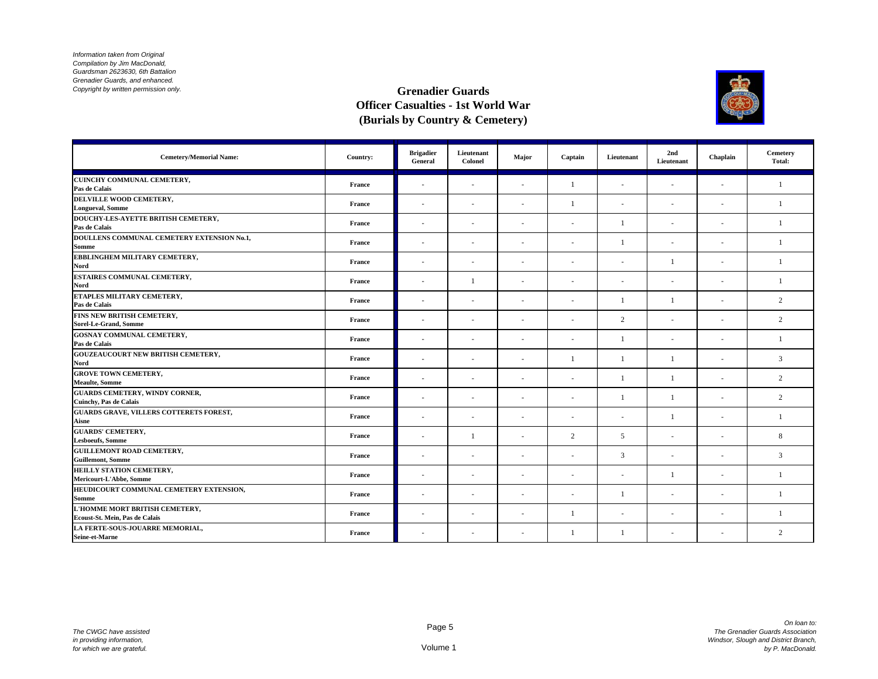

| <b>Cemetery/Memorial Name:</b>                                         | Country:      | <b>Brigadier</b><br>General | Lieutenant<br>Colonel | Major  | Captain      | Lieutenant   | 2nd<br>Lieutenant | Chaplain                 | Cemetery<br>Total: |
|------------------------------------------------------------------------|---------------|-----------------------------|-----------------------|--------|--------------|--------------|-------------------|--------------------------|--------------------|
| CUINCHY COMMUNAL CEMETERY,<br>Pas de Calais                            | France        | $\sim$                      | ٠                     | $\sim$ | $\mathbf{1}$ | $\sim$       | ÷,                | ÷.                       | 1                  |
| DELVILLE WOOD CEMETERY,<br><b>Longueval, Somme</b>                     | France        | $\sim$                      | $\sim$                | ٠      | 1            | ÷.           | ٠                 | $\overline{\phantom{a}}$ | $\mathbf{1}$       |
| DOUCHY-LES-AYETTE BRITISH CEMETERY,<br>Pas de Calais                   | France        | $\sim$                      | $\sim$                | ٠      | ٠            | 1            | ÷,                | ł.                       | $\overline{1}$     |
| DOULLENS COMMUNAL CEMETERY EXTENSION No.1,<br>Somme                    | France        | $\sim$                      | ٠                     | $\sim$ | $\sim$       | $\mathbf{1}$ | $\sim$            | ٠                        | -1                 |
| EBBLINGHEM MILITARY CEMETERY,<br>Nord                                  | <b>France</b> | $\overline{\phantom{a}}$    | ٠                     | $\sim$ | $\sim$       | $\sim$       | $\mathbf{1}$      | ٠                        | $\overline{1}$     |
| ESTAIRES COMMUNAL CEMETERY,<br>Nord                                    | France        | $\sim$                      |                       | ٠      | ٠            | $\sim$       | ٠                 | $\overline{\phantom{a}}$ | $\overline{1}$     |
| ETAPLES MILITARY CEMETERY,<br>Pas de Calais                            | France        | $\sim$                      | ٠                     | ٠      | ä,           | $\mathbf{1}$ | $\overline{1}$    |                          | 2                  |
| FINS NEW BRITISH CEMETERY,<br>Sorel-Le-Grand, Somme                    | France        | $\sim$                      | $\sim$                | $\sim$ | $\sim$       | 2            | $\sim$            | ÷.                       | 2                  |
| <b>GOSNAY COMMUNAL CEMETERY,</b><br>Pas de Calais                      | France        | ٠                           | ٠                     | ٠      | $\sim$       | $\mathbf{1}$ | $\sim$            | ٠                        | -1                 |
| <b>GOUZEAUCOURT NEW BRITISH CEMETERY,</b><br>Nord                      | <b>France</b> | $\sim$                      | $\sim$                | $\sim$ | $\mathbf{1}$ | $\mathbf{1}$ | $\mathbf{1}$      | ٠                        | 3                  |
| <b>GROVE TOWN CEMETERY,</b><br><b>Meaulte</b> , Somme                  | France        | $\sim$                      | $\sim$                | ٠      | $\sim$       | $\mathbf{1}$ | 1                 | ×,                       | 2                  |
| <b>GUARDS CEMETERY, WINDY CORNER,</b><br><b>Cuinchy, Pas de Calais</b> | France        | $\sim$                      | ٠                     | ٠      |              | $\mathbf{1}$ | $\overline{1}$    |                          | 2                  |
| <b>GUARDS GRAVE, VILLERS COTTERETS FOREST,</b><br>Aisne                | France        | $\sim$                      | $\sim$                | $\sim$ | $\sim$       | $\sim$       | $\mathbf{1}$      | ٠                        | $\mathbf{1}$       |
| <b>GUARDS' CEMETERY,</b><br><b>Lesboeufs, Somme</b>                    | France        | ٠                           |                       | $\sim$ | 2            | 5            | $\sim$            | ٠                        | 8                  |
| <b>GUILLEMONT ROAD CEMETERY,</b><br><b>Guillemont, Somme</b>           | France        | $\sim$                      | $\sim$                | ٠      | $\sim$       | 3            | ÷.                | ÷                        | 3                  |
| HEILLY STATION CEMETERY,<br>Mericourt-L'Abbe, Somme                    | France        | $\sim$                      | ٠                     | ٠      | $\sim$       | $\sim$       | 1                 | ٠                        | $\overline{1}$     |
| HEUDICOURT COMMUNAL CEMETERY EXTENSION,<br>Somme                       | France        | $\sim$                      | ٠                     | $\sim$ | ٠            | 1            | ÷,                | ٠                        | $\overline{1}$     |
| L'HOMME MORT BRITISH CEMETERY,<br>Ecoust-St. Mein, Pas de Calais       | France        | $\sim$                      | ٠                     | ٠      | 1            | $\sim$       | $\sim$            | ٠                        | $\overline{1}$     |
| LA FERTE-SOUS-JOUARRE MEMORIAL,<br>Seine-et-Marne                      | France        | ٠                           | ٠                     | ٠      | 1            | 1            | ٠                 |                          | 2                  |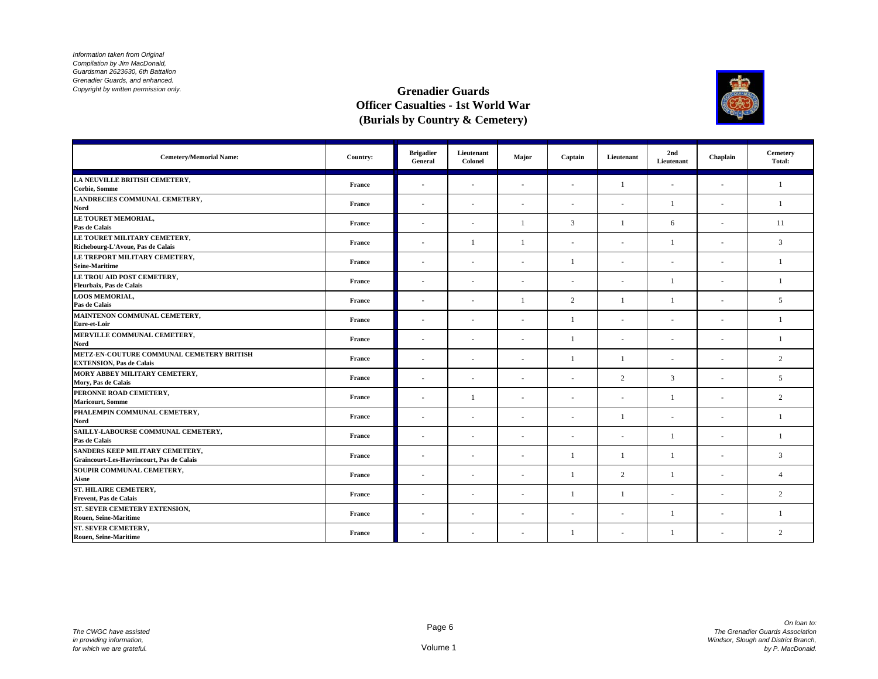

| <b>Cemetery/Memorial Name:</b>                                                      | Country: | <b>Brigadier</b><br>General | Lieutenant<br>Colonel    | Major                    | Captain        | Lieutenant     | 2nd<br>Lieutenant        | Chaplain                 | Cemetery<br>Total: |
|-------------------------------------------------------------------------------------|----------|-----------------------------|--------------------------|--------------------------|----------------|----------------|--------------------------|--------------------------|--------------------|
| LA NEUVILLE BRITISH CEMETERY,<br><b>Corbie, Somme</b>                               | France   |                             |                          | $\sim$                   | ٠              | $\overline{1}$ | ÷,                       | ÷,                       | 1                  |
| LANDRECIES COMMUNAL CEMETERY,<br>Nord                                               | France   | $\sim$                      | $\sim$                   | ×.                       | $\sim$         | $\sim$         | $\overline{1}$           | $\sim$                   | $\mathbf{1}$       |
| LE TOURET MEMORIAL,<br>Pas de Calais                                                | France   |                             |                          |                          | 3              |                | 6                        | ٠                        | 11                 |
| LE TOURET MILITARY CEMETERY.<br>Richebourg-L'Avoue, Pas de Calais                   | France   |                             |                          | -1                       | $\sim$         | ÷,             | $\mathbf{1}$             | ä,                       | 3                  |
| LE TREPORT MILITARY CEMETERY,<br><b>Seine-Maritime</b>                              | France   | $\sim$                      | $\overline{\phantom{a}}$ | $\sim$                   |                | ٠              | $\overline{\phantom{a}}$ | $\overline{\phantom{a}}$ | $\overline{1}$     |
| LE TROU AID POST CEMETERY,<br>Fleurbaix, Pas de Calais                              | France   | $\sim$                      |                          | $\sim$                   | ٠              | $\sim$         | $\mathbf{1}$             | $\sim$                   | 1                  |
| <b>LOOS MEMORIAL,</b><br>Pas de Calais                                              | France   | $\sim$                      |                          | -1                       | 2              | $\overline{1}$ | $\mathbf{1}$             | ٠                        | 5                  |
| MAINTENON COMMUNAL CEMETERY,<br>Eure-et-Loir                                        | France   | $\sim$                      |                          | $\sim$                   | $\overline{1}$ | $\sim$         | $\sim$                   | $\sim$                   | $\overline{1}$     |
| MERVILLE COMMUNAL CEMETERY,<br>Nord                                                 | France   | $\sim$                      | $\overline{\phantom{a}}$ | ٠                        | $\overline{1}$ | ÷.             | ٠                        | $\sim$                   | $\overline{1}$     |
| METZ-EN-COUTURE COMMUNAL CEMETERY BRITISH<br><b>EXTENSION, Pas de Calais</b>        | France   | $\sim$                      | $\overline{\phantom{a}}$ | $\sim$                   |                |                | $\overline{\phantom{a}}$ | $\overline{\phantom{a}}$ | $\overline{c}$     |
| MORY ABBEY MILITARY CEMETERY,<br>Mory, Pas de Calais                                | France   | $\sim$                      | $\overline{\phantom{a}}$ | $\sim$                   | $\sim$         | 2              | 3                        | $\sim$                   | 5                  |
| PERONNE ROAD CEMETERY,<br><b>Maricourt, Somme</b>                                   | France   |                             |                          |                          |                | ÷,             | -1                       | ä,                       | $\overline{c}$     |
| PHALEMPIN COMMUNAL CEMETERY,<br>Nord                                                | France   | $\sim$                      | $\sim$                   | $\overline{\phantom{a}}$ | $\sim$         |                | $\sim$                   | $\sim$                   | $\overline{1}$     |
| SAILLY-LABOURSE COMMUNAL CEMETERY,<br>Pas de Calais                                 | France   | $\sim$                      | ٠                        | ٠                        | ٠              | ٠              | 1                        | $\overline{\phantom{a}}$ | $\mathbf{1}$       |
| SANDERS KEEP MILITARY CEMETERY,<br><b>Graincourt-Les-Havrincourt, Pas de Calais</b> | France   | $\sim$                      | $\overline{\phantom{a}}$ | $\sim$                   |                |                | $\mathbf{1}$             | ÷                        | 3                  |
| SOUPIR COMMUNAL CEMETERY,<br>Aisne                                                  | France   | $\sim$                      |                          | $\sim$                   |                | 2              | 1                        | $\sim$                   | $\overline{4}$     |
| ST. HILAIRE CEMETERY,<br><b>Frevent, Pas de Calais</b>                              | France   | $\sim$                      |                          | $\sim$                   |                | $\overline{1}$ | ٠                        | ٠                        | $\overline{c}$     |
| ST. SEVER CEMETERY EXTENSION,<br><b>Rouen, Seine-Maritime</b>                       | France   | $\sim$                      | $\sim$                   | $\sim$                   | ۰              | $\sim$         | 1                        | $\sim$                   | $\overline{1}$     |
| <b>ST. SEVER CEMETERY.</b><br>Rouen, Seine-Maritime                                 | France   |                             |                          | $\sim$                   |                | ٠              |                          | ÷,                       | $\overline{c}$     |